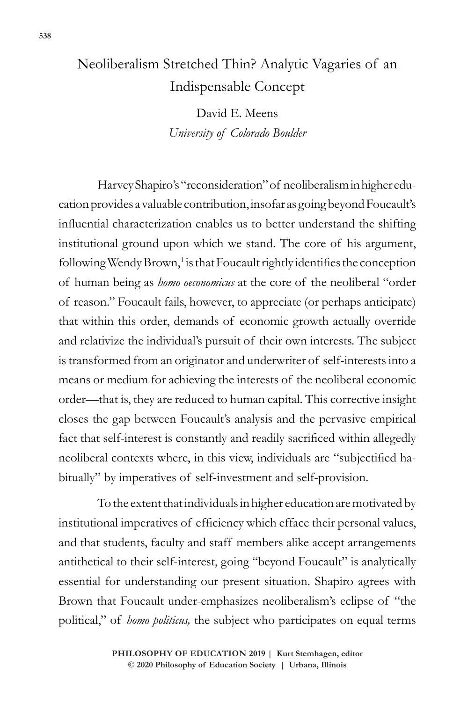## Neoliberalism Stretched Thin? Analytic Vagaries of an Indispensable Concept

David E. Meens *University of Colorado Boulder*

Harvey Shapiro's "reconsideration" of neoliberalism in higher education provides a valuable contribution, insofar as going beyond Foucault's influential characterization enables us to better understand the shifting institutional ground upon which we stand. The core of his argument, following Wendy Brown,<sup>1</sup> is that Foucault rightly identifies the conception of human being as *homo oeconomicus* at the core of the neoliberal "order of reason." Foucault fails, however, to appreciate (or perhaps anticipate) that within this order, demands of economic growth actually override and relativize the individual's pursuit of their own interests. The subject is transformed from an originator and underwriter of self-interests into a means or medium for achieving the interests of the neoliberal economic order—that is, they are reduced to human capital. This corrective insight closes the gap between Foucault's analysis and the pervasive empirical fact that self-interest is constantly and readily sacrificed within allegedly neoliberal contexts where, in this view, individuals are "subjectified habitually" by imperatives of self-investment and self-provision.

To the extent that individuals in higher education are motivated by institutional imperatives of efficiency which efface their personal values, and that students, faculty and staff members alike accept arrangements antithetical to their self-interest, going "beyond Foucault" is analytically essential for understanding our present situation. Shapiro agrees with Brown that Foucault under-emphasizes neoliberalism's eclipse of "the political," of *homo politicus,* the subject who participates on equal terms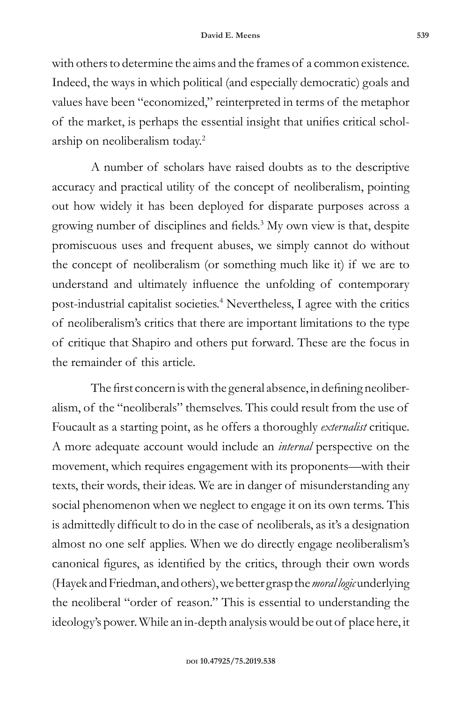with others to determine the aims and the frames of a common existence. Indeed, the ways in which political (and especially democratic) goals and values have been "economized," reinterpreted in terms of the metaphor of the market, is perhaps the essential insight that unifies critical scholarship on neoliberalism today.2

A number of scholars have raised doubts as to the descriptive accuracy and practical utility of the concept of neoliberalism, pointing out how widely it has been deployed for disparate purposes across a growing number of disciplines and fields.<sup>3</sup> My own view is that, despite promiscuous uses and frequent abuses, we simply cannot do without the concept of neoliberalism (or something much like it) if we are to understand and ultimately influence the unfolding of contemporary post-industrial capitalist societies.4 Nevertheless, I agree with the critics of neoliberalism's critics that there are important limitations to the type of critique that Shapiro and others put forward. These are the focus in the remainder of this article.

The first concern is with the general absence, in defining neoliberalism, of the "neoliberals" themselves. This could result from the use of Foucault as a starting point, as he offers a thoroughly *externalist* critique. A more adequate account would include an *internal* perspective on the movement, which requires engagement with its proponents—with their texts, their words, their ideas. We are in danger of misunderstanding any social phenomenon when we neglect to engage it on its own terms. This is admittedly difficult to do in the case of neoliberals, as it's a designation almost no one self applies. When we do directly engage neoliberalism's canonical figures, as identified by the critics, through their own words (Hayek and Friedman, and others), we better grasp the *moral logic* underlying the neoliberal "order of reason." This is essential to understanding the ideology's power. While an in-depth analysis would be out of place here, it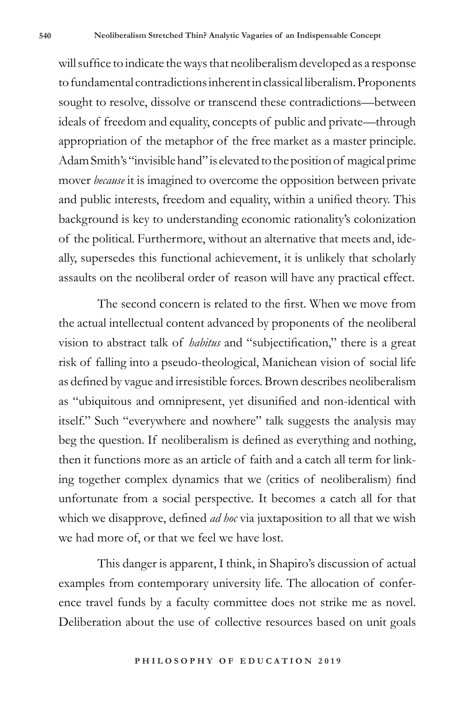will suffice to indicate the ways that neoliberalism developed as a response to fundamental contradictions inherent in classical liberalism. Proponents sought to resolve, dissolve or transcend these contradictions—between ideals of freedom and equality, concepts of public and private—through appropriation of the metaphor of the free market as a master principle. Adam Smith's "invisible hand" is elevated to the position of magical prime mover *because* it is imagined to overcome the opposition between private and public interests, freedom and equality, within a unified theory. This background is key to understanding economic rationality's colonization of the political. Furthermore, without an alternative that meets and, ideally, supersedes this functional achievement, it is unlikely that scholarly assaults on the neoliberal order of reason will have any practical effect.

The second concern is related to the first. When we move from the actual intellectual content advanced by proponents of the neoliberal vision to abstract talk of *habitus* and "subjectification," there is a great risk of falling into a pseudo-theological, Manichean vision of social life as defined by vague and irresistible forces. Brown describes neoliberalism as "ubiquitous and omnipresent, yet disunified and non-identical with itself." Such "everywhere and nowhere" talk suggests the analysis may beg the question. If neoliberalism is defined as everything and nothing, then it functions more as an article of faith and a catch all term for linking together complex dynamics that we (critics of neoliberalism) find unfortunate from a social perspective. It becomes a catch all for that which we disapprove, defined *ad hoc* via juxtaposition to all that we wish we had more of, or that we feel we have lost.

This danger is apparent, I think, in Shapiro's discussion of actual examples from contemporary university life. The allocation of conference travel funds by a faculty committee does not strike me as novel. Deliberation about the use of collective resources based on unit goals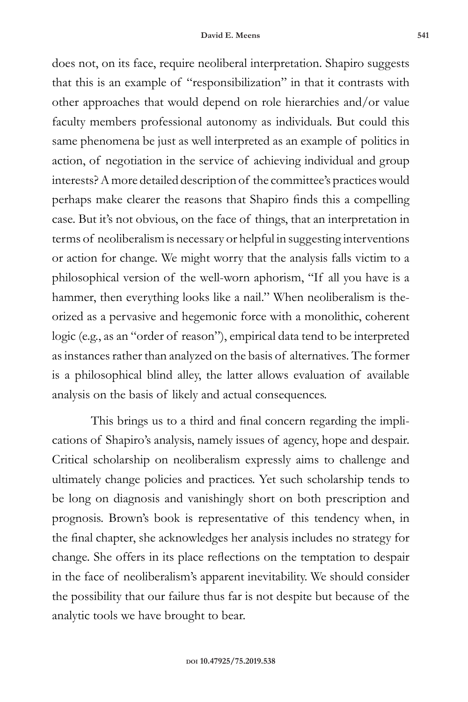does not, on its face, require neoliberal interpretation. Shapiro suggests that this is an example of "responsibilization" in that it contrasts with other approaches that would depend on role hierarchies and/or value faculty members professional autonomy as individuals. But could this same phenomena be just as well interpreted as an example of politics in action, of negotiation in the service of achieving individual and group interests? A more detailed description of the committee's practices would perhaps make clearer the reasons that Shapiro finds this a compelling case. But it's not obvious, on the face of things, that an interpretation in terms of neoliberalism is necessary or helpful in suggesting interventions or action for change. We might worry that the analysis falls victim to a philosophical version of the well-worn aphorism, "If all you have is a hammer, then everything looks like a nail." When neoliberalism is theorized as a pervasive and hegemonic force with a monolithic, coherent logic (e.g., as an "order of reason"), empirical data tend to be interpreted as instances rather than analyzed on the basis of alternatives*.* The former is a philosophical blind alley, the latter allows evaluation of available analysis on the basis of likely and actual consequences.

This brings us to a third and final concern regarding the implications of Shapiro's analysis, namely issues of agency, hope and despair. Critical scholarship on neoliberalism expressly aims to challenge and ultimately change policies and practices. Yet such scholarship tends to be long on diagnosis and vanishingly short on both prescription and prognosis. Brown's book is representative of this tendency when, in the final chapter, she acknowledges her analysis includes no strategy for change. She offers in its place reflections on the temptation to despair in the face of neoliberalism's apparent inevitability. We should consider the possibility that our failure thus far is not despite but because of the analytic tools we have brought to bear.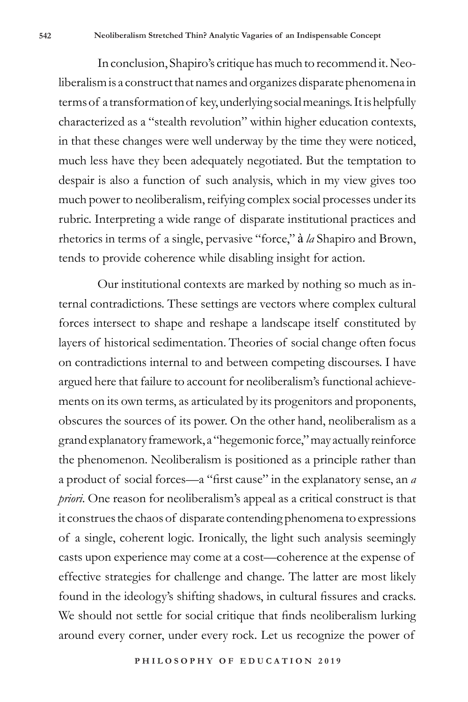In conclusion, Shapiro's critique has much to recommend it. Neoliberalism is a construct that names and organizes disparate phenomena in terms of a transformation of key, underlying social meanings. It is helpfully characterized as a "stealth revolution" within higher education contexts, in that these changes were well underway by the time they were noticed, much less have they been adequately negotiated. But the temptation to despair is also a function of such analysis, which in my view gives too much power to neoliberalism, reifying complex social processes under its rubric. Interpreting a wide range of disparate institutional practices and rhetorics in terms of a single, pervasive "force," à *la* Shapiro and Brown, tends to provide coherence while disabling insight for action.

Our institutional contexts are marked by nothing so much as internal contradictions. These settings are vectors where complex cultural forces intersect to shape and reshape a landscape itself constituted by layers of historical sedimentation. Theories of social change often focus on contradictions internal to and between competing discourses. I have argued here that failure to account for neoliberalism's functional achievements on its own terms, as articulated by its progenitors and proponents, obscures the sources of its power. On the other hand, neoliberalism as a grand explanatory framework, a "hegemonic force," may actually reinforce the phenomenon. Neoliberalism is positioned as a principle rather than a product of social forces—a "first cause" in the explanatory sense, an *a priori*. One reason for neoliberalism's appeal as a critical construct is that it construes the chaos of disparate contending phenomena to expressions of a single, coherent logic. Ironically, the light such analysis seemingly casts upon experience may come at a cost—coherence at the expense of effective strategies for challenge and change. The latter are most likely found in the ideology's shifting shadows, in cultural fissures and cracks. We should not settle for social critique that finds neoliberalism lurking around every corner, under every rock. Let us recognize the power of